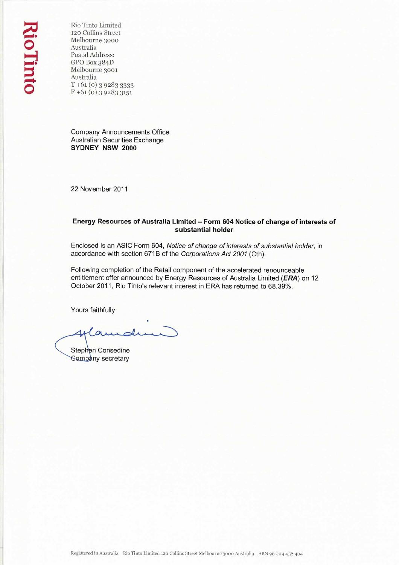Rio Tinto Limited 120 Collins Street Melbourne 3000 Australia Postal Address: GPO Box 384D Melbourne 3001 Australia T +61 (o) 3 9283 3333  $F + 61 (0) 3928333151$ 

Company Announcements Office Australian Securities Exchange **SYDNEY NSW 2000** 

22 November 2011

# **Energy Resources of Australia Limited — Form 604 Notice of change of interests of substantial holder**

Enclosed is an ASIC Form 604, *Notice of change of interests of substantial holder,* in accordance with section 671B of the *Corporations Act 2001* (Cth).

Following completion of the Retail component of the accelerated renounceable entitlement offer announced by Energy Resources of Australia Limited **(ERA)** on 12 October 2011, Rio Tinto's relevant interest in ERA has returned to 68.39%.

Yours faithfully

Stephen Consedine **Sompany** secretary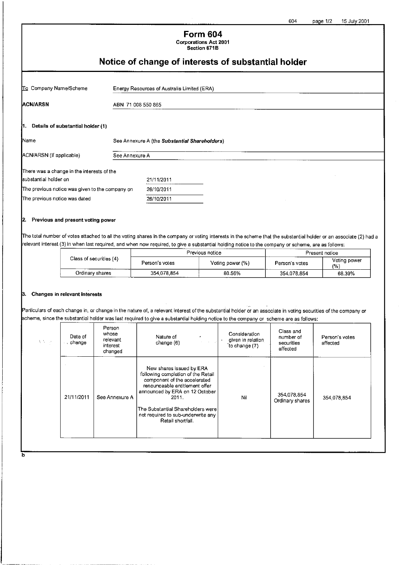## **Form 604 Corporations Act 2001 Section 671B**

# **Notice of change of interests of substantial holder**

| To Company Name/Scheme                          |                    | Energy Resources of Australia Limited (ERA)   |  |  |
|-------------------------------------------------|--------------------|-----------------------------------------------|--|--|
| <b>ACN/ARSN</b>                                 | ABN 71 008 550 865 |                                               |  |  |
| 1. Details of substantial holder (1)            |                    |                                               |  |  |
| <b>Name</b>                                     |                    | See Annexure A (the Substantial Shareholders) |  |  |
| ACN/ARSN (if applicable)                        | See Annexure A     |                                               |  |  |
| There was a change in the interests of the      |                    |                                               |  |  |
| substantial holder on                           |                    | 21/11/2011                                    |  |  |
| The previous notice was given to the company on |                    | 26/10/2011                                    |  |  |
| The previous notice was dated                   |                    | 26/10/2011                                    |  |  |

#### **2. Previous and present voting power**

The total number of votes attached to all the voting shares in the company or voting interests in the scheme that the substantial holder or an associate (2) had a relevant interest (3) in when last required, and when now required, to give a substantial holding notice to the company or scheme, are as follows:

| Class of securities (4) |                | Previous notice  | Present notice |                    |
|-------------------------|----------------|------------------|----------------|--------------------|
|                         | Person's votes | Voting power (%) | Person's votes | Voting power<br>1% |
| Ordinary shares         | 354.078.854    | 80.56%           | 354.078.854    | 68.39%             |

#### **3. Changes in relevant interests**

Particulars of each change in, or change in the nature of, a relevant interest of the substantial holder or an associate in voting securities of the company or scheme, since the substantial holder was last required to give a substantial holding notice to the company or scheme are as follows:

| Date of<br>$\Delta$ Maps<br>. change | Person<br>whose<br>relevant<br>interest<br>changed | Nature of<br>٠<br>1980 B. D.<br>change (6)                                                                                                                                                                                                                                  | Consideration<br>given in relation<br>to change (7) | Class and<br>number of<br>securities<br>affected | Person's votes<br>affected |
|--------------------------------------|----------------------------------------------------|-----------------------------------------------------------------------------------------------------------------------------------------------------------------------------------------------------------------------------------------------------------------------------|-----------------------------------------------------|--------------------------------------------------|----------------------------|
| 21/11/2011                           | See Annexure A                                     | New shares issued by ERA<br>following completion of the Retail<br>component of the accelerated<br>renounceable entitlement offer<br>announced by ERA on 12 October<br>2011.<br>The Substantial Shareholders were<br>not required to sub-underwrite any<br>Retail shortfall. | Nil                                                 | 354,078,854<br>Ordinary shares                   | 354.078.854                |

т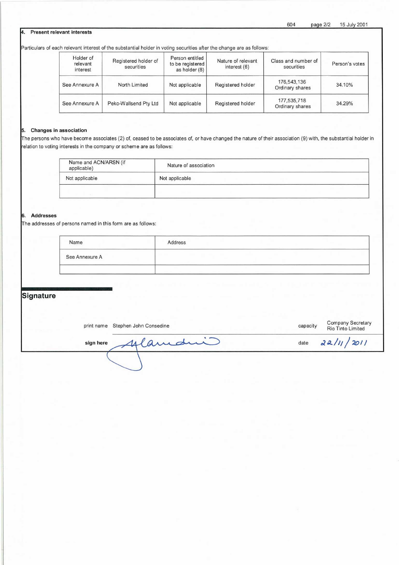#### **4. Present relevant interests**

Particulars of each relevant interest of the substantial holder in voting securities after the change are as follows:

| Holder of<br>relevant<br>interest | Registered holder of<br>securities | Person entitled<br>to be registered<br>as holder (8) | Nature of relevant<br>interest (6) | Class and number of<br>securities | Person's votes |
|-----------------------------------|------------------------------------|------------------------------------------------------|------------------------------------|-----------------------------------|----------------|
| See Annexure A                    | North Limited                      | Not applicable                                       | Registered holder                  | 176,543,136<br>Ordinary shares    | 34.10%         |
| See Annexure A                    | Peko-Wallsend Pty Ltd              | Not applicable                                       | Registered holder                  | 177,535,718<br>Ordinary shares    | 34.29%         |

#### **5. Changes in association**

The persons who have become associates (2) of, ceased to be associates of, or have changed the nature of their association (9) with, the substantial holder in relation to voting interests in the company or scheme are as follows:

| Name and ACN/ARSN (if<br>applicable) | Nature of association |
|--------------------------------------|-----------------------|
| Not applicable                       | Not applicable        |
|                                      |                       |

#### **6. Addresses**

The addresses of persons named in this form are as follows:

| Name           | Address |  |
|----------------|---------|--|
| See Annexure A |         |  |
|                |         |  |

# **Signature**

|           | print name Stephen John Consedine | capacity | Company Secretary<br>Rio Tinto Limited |
|-----------|-----------------------------------|----------|----------------------------------------|
| sign here | 4 lamani                          |          | date $22/11/2011$                      |
|           |                                   |          |                                        |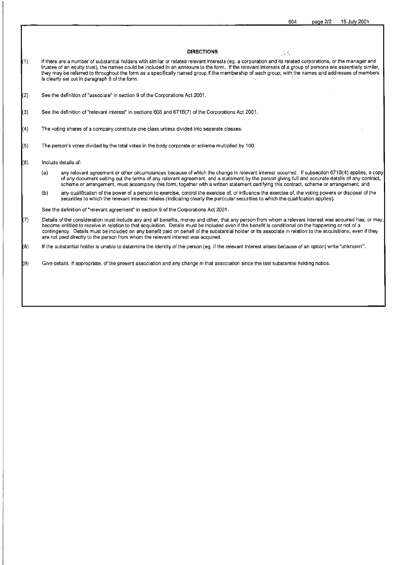#### **DIRECTIONS**

 $\Delta\Delta$ 

- (1) If there are a number of substantial holders with similar or related relevant interests (eg. a corporation and its related corporations, or the manager and trustee of an equity trust), the names could be included in an annexure to the form. If the relevant interests of a group of persons are essentially similar, they may be referred to throughout the form as a specifically named group if the membership of each group, with the names and addresses of members is clearly set out in paragraph 6 of the form.
- (2) See the definition of "associate" in section 9 of the Corporations Act 2001.
- (3) See the definition of "relevant interest" in sections 608 and 671B(7) of the Corporations Act 2001.
- (4) The voting shares of a company constitute one class unless divided into separate classes.
- (5) The person's votes divided by the total votes in the body corporate or scheme multiplied by 100.
- (6) Include details of:
	- (a) any relevant agreement or other circumstances because of which the change in relevant interest occurred. If subsection 6718(4) applies, a copy of any document setting out the terms of any relevant agreement, and a statement by the person giving full and accurate details of any contract, scheme or arrangement, must accompany this form, together with a written statement certifying this contract, scheme or arrangement; and
	- (b) any qualification of the power of a person to exercise, control the exercise of, or influence the exercise of, the voting powers or disposal of the securities to which the relevant interest relates (indicating clearly the particular securities to which the qualification applies).

See the definition of "relevant agreement" in section 9 of the Corporations Act 2001.

- 7) Details of the consideration must include any and all benefits, money and other, that any person from whom a relevant interest was acquired has, or may<br>become entitled to receive in relation to that acquisition. Details contingency. Details must be included on any benefit paid on behalf of the substantial holder or its associate in relation to the acquisitions, even if they are not paid directly to the person from whom the relevant interest was acquired.
- (8) If the substantial holder is unable to determine the identity of the person (eg. if the relevant interest arises because of an option) write "unknown'.
- (9) Give details, if appropriate, of the present association and any change in that association since the last substantial holding notice.